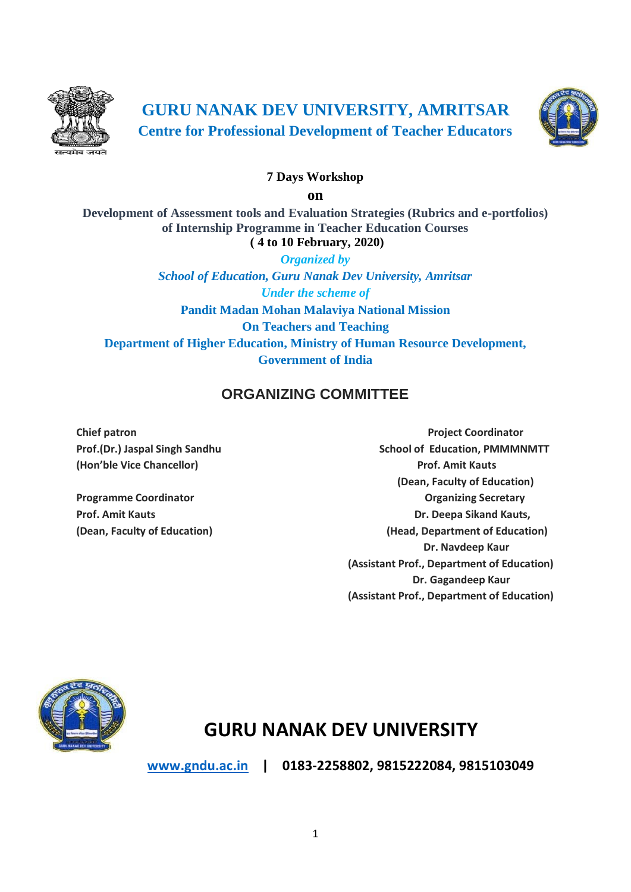

**GURU NANAK DEV UNIVERSITY, AMRITSAR Centre for Professional Development of Teacher Educators**



#### **7 Days Workshop**

**on**

**Development of Assessment tools and Evaluation Strategies (Rubrics and e-portfolios) of Internship Programme in Teacher Education Courses ( 4 to 10 February, 2020)**

*Organized by School of Education, Guru Nanak Dev University, Amritsar Under the scheme of* **Pandit Madan Mohan Malaviya National Mission On Teachers and Teaching Department of Higher Education, Ministry of Human Resource Development, Government of India**

## **ORGANIZING COMMITTEE**

**Chief patron Chief patron Project Coordinator Prof.(Dr.) Jaspal Singh Sandhu School of Education, PMMMNMTT (Hon'ble Vice Chancellor) Prof. Amit Kauts (Dean, Faculty of Education) Programme Coordinator Contract Contract Contract Contract Contract Contract Contract Contract Contract Contract Contract Contract Contract Contract Contract Contract Contract Contract Contract Contract Contract Contract C Prof. Amit Kauts Cause 2018 Dr. Deepa Sikand Kauts, (Dean, Faculty of Education) (Head, Department of Education) Dr. Navdeep Kaur (Assistant Prof., Department of Education) Dr. Gagandeep Kaur (Assistant Prof., Department of Education)**



# **GURU NANAK DEV UNIVERSITY**

**[www.gndu.ac.in](http://www.gndu.ac.in/) | 0183-2258802, 9815222084, 9815103049**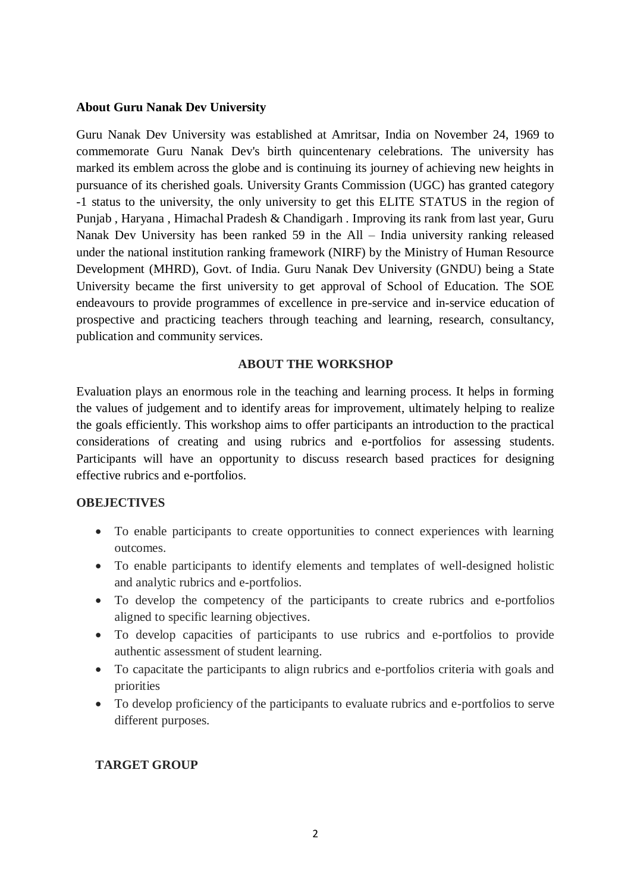#### **About Guru Nanak Dev University**

Guru Nanak Dev University was established at Amritsar, India on November 24, 1969 to commemorate Guru Nanak Dev's birth quincentenary celebrations. The university has marked its emblem across the globe and is continuing its journey of achieving new heights in pursuance of its cherished goals. University Grants Commission (UGC) has granted category -1 status to the university, the only university to get this ELITE STATUS in the region of Punjab , Haryana , Himachal Pradesh & Chandigarh . Improving its rank from last year, Guru Nanak Dev University has been ranked 59 in the All – India university ranking released under the national institution ranking framework (NIRF) by the Ministry of Human Resource Development (MHRD), Govt. of India. Guru Nanak Dev University (GNDU) being a State University became the first university to get approval of School of Education. The SOE endeavours to provide programmes of excellence in pre-service and in-service education of prospective and practicing teachers through teaching and learning, research, consultancy, publication and community services.

#### **ABOUT THE WORKSHOP**

Evaluation plays an enormous role in the teaching and learning process. It helps in forming the values of judgement and to identify areas for improvement, ultimately helping to realize the goals efficiently. This workshop aims to offer participants an introduction to the practical considerations of creating and using rubrics and e-portfolios for assessing students. Participants will have an opportunity to discuss research based practices for designing effective rubrics and e-portfolios.

#### **OBEJECTIVES**

- To enable participants to create opportunities to connect experiences with learning outcomes.
- To enable participants to identify elements and templates of well-designed holistic and analytic rubrics and e-portfolios.
- To develop the competency of the participants to create rubrics and e-portfolios aligned to specific learning objectives.
- To develop capacities of participants to use rubrics and e-portfolios to provide authentic assessment of student learning.
- To capacitate the participants to align rubrics and e-portfolios criteria with goals and priorities
- To develop proficiency of the participants to evaluate rubrics and e-portfolios to serve different purposes.

#### **TARGET GROUP**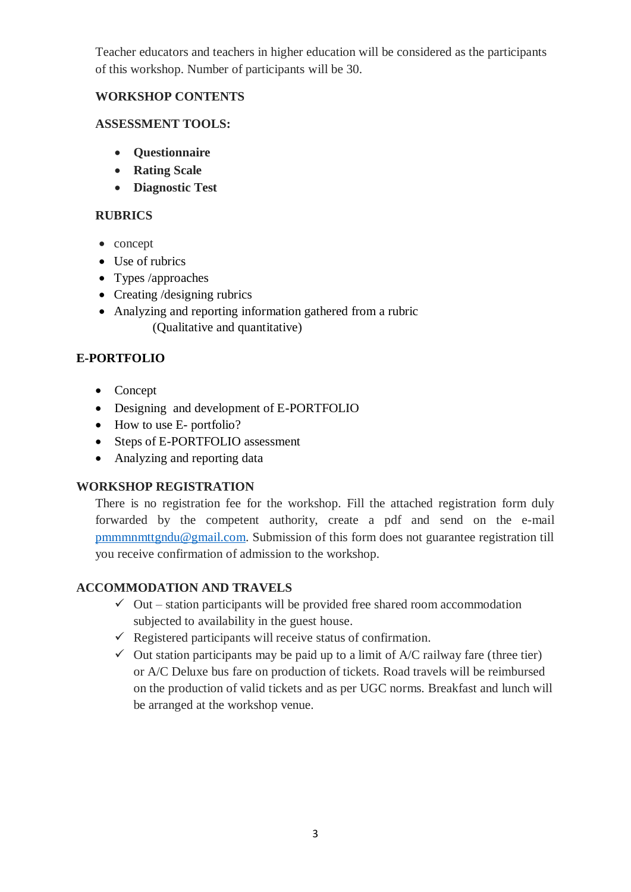Teacher educators and teachers in higher education will be considered as the participants of this workshop. Number of participants will be 30.

#### **WORKSHOP CONTENTS**

#### **ASSESSMENT TOOLS:**

- **Questionnaire**
- **Rating Scale**
- **Diagnostic Test**

## **RUBRICS**

- concept
- Use of rubrics
- Types /approaches
- Creating /designing rubrics
- Analyzing and reporting information gathered from a rubric (Qualitative and quantitative)

## **E-PORTFOLIO**

- Concept
- Designing and development of E-PORTFOLIO
- How to use E- portfolio?
- Steps of E-PORTFOLIO assessment
- Analyzing and reporting data

## **WORKSHOP REGISTRATION**

There is no registration fee for the workshop. Fill the attached registration form duly forwarded by the competent authority, create a pdf and send on the e-mail [pmmmnmttgndu@gmail.com.](mailto:pmmmnmttgndu@gmail.com) Submission of this form does not guarantee registration till you receive confirmation of admission to the workshop.

## **ACCOMMODATION AND TRAVELS**

- $\checkmark$  Out station participants will be provided free shared room accommodation subjected to availability in the guest house.
- $\checkmark$  Registered participants will receive status of confirmation.
- $\checkmark$  Out station participants may be paid up to a limit of A/C railway fare (three tier) or A/C Deluxe bus fare on production of tickets. Road travels will be reimbursed on the production of valid tickets and as per UGC norms. Breakfast and lunch will be arranged at the workshop venue.